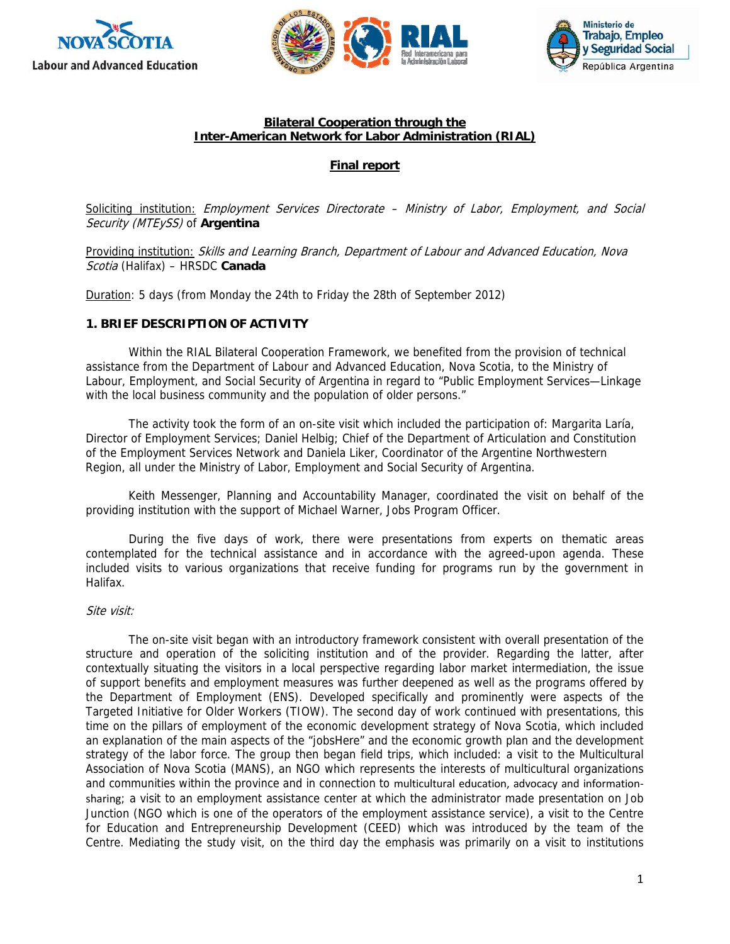





#### **Bilateral Cooperation through the Inter-American Network for Labor Administration (RIAL)**

# **Final report**

Soliciting institution: Employment Services Directorate - Ministry of Labor, Employment, and Social Security (MTEySS) of **Argentina**

Providing institution: Skills and Learning Branch, Department of Labour and Advanced Education, Nova Scotia (Halifax) – HRSDC **Canada** 

Duration: 5 days (from Monday the 24th to Friday the 28th of September 2012)

# **1. BRIEF DESCRIPTION OF ACTIVITY**

Within the RIAL Bilateral Cooperation Framework, we benefited from the provision of technical assistance from the Department of Labour and Advanced Education, Nova Scotia, to the Ministry of Labour, Employment, and Social Security of Argentina in regard to "Public Employment Services—Linkage with the local business community and the population of older persons."

The activity took the form of an on-site visit which included the participation of: Margarita Laría, Director of Employment Services; Daniel Helbig; Chief of the Department of Articulation and Constitution of the Employment Services Network and Daniela Liker, Coordinator of the Argentine Northwestern Region, all under the Ministry of Labor, Employment and Social Security of Argentina.

Keith Messenger, Planning and Accountability Manager, coordinated the visit on behalf of the providing institution with the support of Michael Warner, Jobs Program Officer.

During the five days of work, there were presentations from experts on thematic areas contemplated for the technical assistance and in accordance with the agreed-upon agenda. These included visits to various organizations that receive funding for programs run by the government in Halifax.

#### Site visit:

The on-site visit began with an introductory framework consistent with overall presentation of the structure and operation of the soliciting institution and of the provider. Regarding the latter, after contextually situating the visitors in a local perspective regarding labor market intermediation, the issue of support benefits and employment measures was further deepened as well as the programs offered by the Department of Employment (ENS). Developed specifically and prominently were aspects of the Targeted Initiative for Older Workers (TIOW). The second day of work continued with presentations, this time on the pillars of employment of the economic development strategy of Nova Scotia, which included an explanation of the main aspects of the "jobsHere" and the economic growth plan and the development strategy of the labor force. The group then began field trips, which included: a visit to the Multicultural Association of Nova Scotia (MANS), an NGO which represents the interests of multicultural organizations and communities within the province and in connection to multicultural education, advocacy and information‐ sharing; a visit to an employment assistance center at which the administrator made presentation on Job Junction (NGO which is one of the operators of the employment assistance service), a visit to the Centre for Education and Entrepreneurship Development (CEED) which was introduced by the team of the Centre. Mediating the study visit, on the third day the emphasis was primarily on a visit to institutions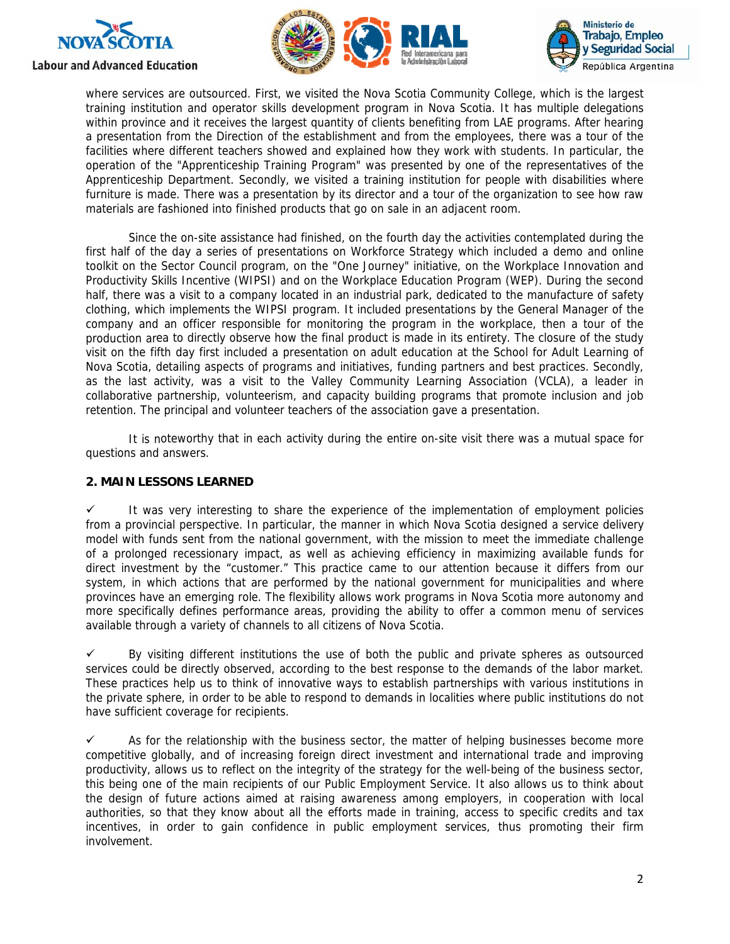





where services are outsourced. First, we visited the Nova Scotia Community College, which is the largest training institution and operator skills development program in Nova Scotia. It has multiple delegations within province and it receives the largest quantity of clients benefiting from LAE programs. After hearing a presentation from the Direction of the establishment and from the employees, there was a tour of the facilities where different teachers showed and explained how they work with students. In particular, the operation of the "Apprenticeship Training Program" was presented by one of the representatives of the Apprenticeship Department. Secondly, we visited a training institution for people with disabilities where furniture is made. There was a presentation by its director and a tour of the organization to see how raw materials are fashioned into finished products that go on sale in an adjacent room.

Since the on-site assistance had finished, on the fourth day the activities contemplated during the first half of the day a series of presentations on Workforce Strategy which included a demo and online toolkit on the Sector Council program, on the "One Journey" initiative, on the Workplace Innovation and Productivity Skills Incentive (WIPSI) and on the Workplace Education Program (WEP). During the second half, there was a visit to a company located in an industrial park, dedicated to the manufacture of safety clothing, which implements the WIPSI program. It included presentations by the General Manager of the company and an officer responsible for monitoring the program in the workplace, then a tour of the production area to directly observe how the final product is made in its entirety. The closure of the study visit on the fifth day first included a presentation on adult education at the School for Adult Learning of Nova Scotia, detailing aspects of programs and initiatives, funding partners and best practices. Secondly, as the last activity, was a visit to the Valley Community Learning Association (VCLA), a leader in collaborative partnership, volunteerism, and capacity building programs that promote inclusion and job retention. The principal and volunteer teachers of the association gave a presentation.

It is noteworthy that in each activity during the entire on-site visit there was a mutual space for questions and answers.

# **2. MAIN LESSONS LEARNED**

 $\checkmark$  It was very interesting to share the experience of the implementation of employment policies from a provincial perspective. In particular, the manner in which Nova Scotia designed a service delivery model with funds sent from the national government, with the mission to meet the immediate challenge of a prolonged recessionary impact, as well as achieving efficiency in maximizing available funds for direct investment by the "customer." This practice came to our attention because it differs from our system, in which actions that are performed by the national government for municipalities and where provinces have an emerging role. The flexibility allows work programs in Nova Scotia more autonomy and more specifically defines performance areas, providing the ability to offer a common menu of services available through a variety of channels to all citizens of Nova Scotia.

 $\checkmark$  By visiting different institutions the use of both the public and private spheres as outsourced services could be directly observed, according to the best response to the demands of the labor market. These practices help us to think of innovative ways to establish partnerships with various institutions in the private sphere, in order to be able to respond to demands in localities where public institutions do not have sufficient coverage for recipients.

 $\checkmark$  As for the relationship with the business sector, the matter of helping businesses become more competitive globally, and of increasing foreign direct investment and international trade and improving productivity, allows us to reflect on the integrity of the strategy for the well-being of the business sector, this being one of the main recipients of our Public Employment Service. It also allows us to think about the design of future actions aimed at raising awareness among employers, in cooperation with local authorities, so that they know about all the efforts made in training, access to specific credits and tax incentives, in order to gain confidence in public employment services, thus promoting their firm involvement.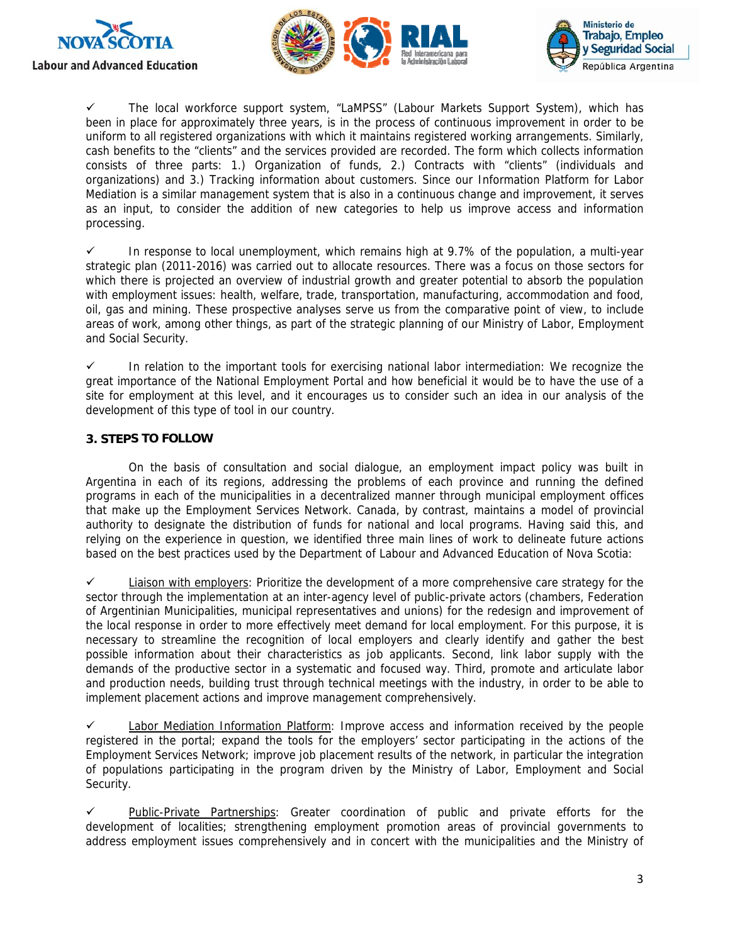





 $\checkmark$  The local workforce support system, "LaMPSS" (Labour Markets Support System), which has been in place for approximately three years, is in the process of continuous improvement in order to be uniform to all registered organizations with which it maintains registered working arrangements. Similarly, cash benefits to the "clients" and the services provided are recorded. The form which collects information consists of three parts: 1.) Organization of funds, 2.) Contracts with "clients" (individuals and organizations) and 3.) Tracking information about customers. Since our Information Platform for Labor Mediation is a similar management system that is also in a continuous change and improvement, it serves as an input, to consider the addition of new categories to help us improve access and information processing.

 $\checkmark$  In response to local unemployment, which remains high at 9.7% of the population, a multi-year strategic plan (2011-2016) was carried out to allocate resources. There was a focus on those sectors for which there is projected an overview of industrial growth and greater potential to absorb the population with employment issues: health, welfare, trade, transportation, manufacturing, accommodation and food, oil, gas and mining. These prospective analyses serve us from the comparative point of view, to include areas of work, among other things, as part of the strategic planning of our Ministry of Labor, Employment and Social Security.

 $\checkmark$  In relation to the important tools for exercising national labor intermediation: We recognize the great importance of the National Employment Portal and how beneficial it would be to have the use of a site for employment at this level, and it encourages us to consider such an idea in our analysis of the development of this type of tool in our country.

# **3. STEPS TO FOLLOW**

On the basis of consultation and social dialogue, an employment impact policy was built in Argentina in each of its regions, addressing the problems of each province and running the defined programs in each of the municipalities in a decentralized manner through municipal employment offices that make up the Employment Services Network. Canada, by contrast, maintains a model of provincial authority to designate the distribution of funds for national and local programs. Having said this, and relying on the experience in question, we identified three main lines of work to delineate future actions based on the best practices used by the Department of Labour and Advanced Education of Nova Scotia:

 $\checkmark$  Liaison with employers: Prioritize the development of a more comprehensive care strategy for the sector through the implementation at an inter-agency level of public-private actors (chambers, Federation of Argentinian Municipalities, municipal representatives and unions) for the redesign and improvement of the local response in order to more effectively meet demand for local employment. For this purpose, it is necessary to streamline the recognition of local employers and clearly identify and gather the best possible information about their characteristics as job applicants. Second, link labor supply with the demands of the productive sector in a systematic and focused way. Third, promote and articulate labor and production needs, building trust through technical meetings with the industry, in order to be able to implement placement actions and improve management comprehensively.

 $\checkmark$  Labor Mediation Information Platform: Improve access and information received by the people registered in the portal; expand the tools for the employers' sector participating in the actions of the Employment Services Network; improve job placement results of the network, in particular the integration of populations participating in the program driven by the Ministry of Labor, Employment and Social Security.

 Public-Private Partnerships: Greater coordination of public and private efforts for the development of localities; strengthening employment promotion areas of provincial governments to address employment issues comprehensively and in concert with the municipalities and the Ministry of